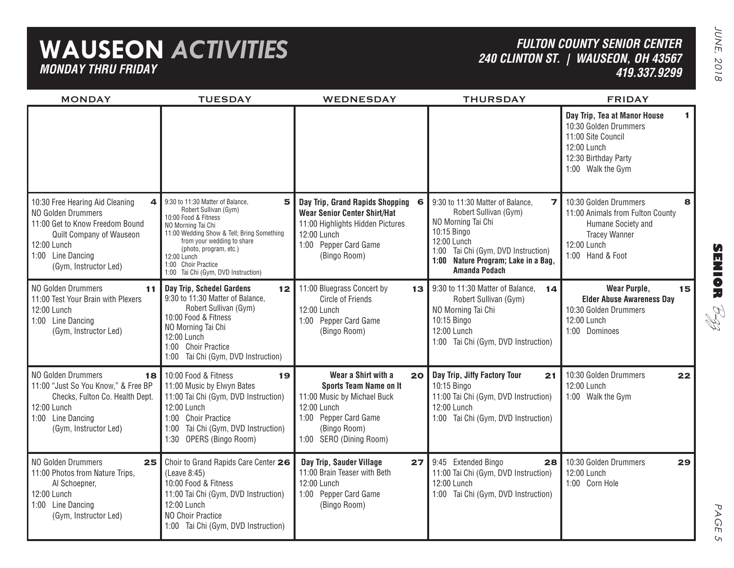## **WAUSEON** *ACTIVITIES MONDAY THRU FRIDAY*

## *FULTON COUNTY SENIOR CENTER240 CLINTON ST. | WAUSEON, OH 43567 419.337.9299*

JUNE, 2018 JUNE, 2018

| <b>MONDAY</b>                                                                                                                                                                          | <b>TUESDAY</b>                                                                                                                                                                                                                                                                                  | <b>WEDNESDAY</b>                                                                                                                                                                          | <b>THURSDAY</b>                                                                                                                                                                                                                          | <b>FRIDAY</b>                                                                                                                                   |
|----------------------------------------------------------------------------------------------------------------------------------------------------------------------------------------|-------------------------------------------------------------------------------------------------------------------------------------------------------------------------------------------------------------------------------------------------------------------------------------------------|-------------------------------------------------------------------------------------------------------------------------------------------------------------------------------------------|------------------------------------------------------------------------------------------------------------------------------------------------------------------------------------------------------------------------------------------|-------------------------------------------------------------------------------------------------------------------------------------------------|
|                                                                                                                                                                                        |                                                                                                                                                                                                                                                                                                 |                                                                                                                                                                                           |                                                                                                                                                                                                                                          | Day Trip, Tea at Manor House<br>1.<br>10:30 Golden Drummers<br>11:00 Site Council<br>12:00 Lunch<br>12:30 Birthday Party<br>1:00 Walk the Gym   |
| 4<br>10:30 Free Hearing Aid Cleaning<br>NO Golden Drummers<br>11:00 Get to Know Freedom Bound<br>Quilt Company of Wauseon<br>12:00 Lunch<br>1:00 Line Dancing<br>(Gym, Instructor Led) | 9:30 to 11:30 Matter of Balance,<br>5<br>Robert Sullivan (Gym)<br>10:00 Food & Fitness<br>NO Morning Tai Chi<br>11:00 Wedding Show & Tell; Bring Something<br>from your wedding to share<br>(photo, program, etc.)<br>12:00 Lunch<br>1:00 Choir Practice<br>1:00 Tai Chi (Gym, DVD Instruction) | Day Trip, Grand Rapids Shopping<br>6<br><b>Wear Senior Center Shirt/Hat</b><br>11:00 Highlights Hidden Pictures<br>12:00 Lunch<br>1:00 Pepper Card Game<br>(Bingo Room)                   | 9:30 to 11:30 Matter of Balance,<br>$\overline{ }$<br>Robert Sullivan (Gym)<br>NO Morning Tai Chi<br>10:15 Bingo<br>12:00 Lunch<br>Tai Chi (Gym, DVD Instruction)<br>1:00<br>1:00 Nature Program; Lake in a Bag,<br><b>Amanda Podach</b> | 10:30 Golden Drummers<br>8<br>11:00 Animals from Fulton County<br>Humane Society and<br><b>Tracey Wanner</b><br>12:00 Lunch<br>1:00 Hand & Foot |
| NO Golden Drummers<br>11<br>11:00 Test Your Brain with Plexers<br>12:00 Lunch<br>1:00 Line Dancing<br>(Gym, Instructor Led)                                                            | Day Trip, Schedel Gardens<br>12 <sub>2</sub><br>9:30 to 11:30 Matter of Balance,<br>Robert Sullivan (Gym)<br>10:00 Food & Fitness<br>NO Morning Tai Chi<br>12:00 Lunch<br>1:00 Choir Practice<br>1:00 Tai Chi (Gym, DVD Instruction)                                                            | 11:00 Bluegrass Concert by<br>13 I<br>Circle of Friends<br>12:00 Lunch<br>1:00 Pepper Card Game<br>(Bingo Room)                                                                           | 9:30 to 11:30 Matter of Balance,<br>14<br>Robert Sullivan (Gym)<br>NO Morning Tai Chi<br>10:15 Bingo<br>12:00 Lunch<br>1:00 Tai Chi (Gym, DVD Instruction)                                                                               | <b>Wear Purple,</b><br>15<br><b>Elder Abuse Awareness Day</b><br>10:30 Golden Drummers<br>12:00 Lunch<br>1:00 Dominoes                          |
| NO Golden Drummers<br>18<br>11:00 "Just So You Know," & Free BP<br>Checks, Fulton Co. Health Dept.<br>12:00 Lunch<br>1:00 Line Dancing<br>(Gym, Instructor Led)                        | 10:00 Food & Fitness<br>19<br>11:00 Music by Elwyn Bates<br>11:00 Tai Chi (Gym, DVD Instruction)<br>12:00 Lunch<br>1:00 Choir Practice<br>1:00 Tai Chi (Gym, DVD Instruction)<br>1:30 OPERS (Bingo Room)                                                                                        | Wear a Shirt with a<br>20 <sub>1</sub><br><b>Sports Team Name on It</b><br>11:00 Music by Michael Buck<br>12:00 Lunch<br>1:00 Pepper Card Game<br>(Bingo Room)<br>1:00 SERO (Dining Room) | Day Trip, Jiffy Factory Tour<br>21<br>10:15 Bingo<br>11:00 Tai Chi (Gym, DVD Instruction)<br>12:00 Lunch<br>1:00 Tai Chi (Gym, DVD Instruction)                                                                                          | 10:30 Golden Drummers<br>22<br>12:00 Lunch<br>1:00 Walk the Gym                                                                                 |
| NO Golden Drummers<br>25<br>11:00 Photos from Nature Trips,<br>Al Schoepner,<br>12:00 Lunch<br>1:00 Line Dancing<br>(Gym, Instructor Led)                                              | Choir to Grand Rapids Care Center 26<br>(Leave 8:45)<br>10:00 Food & Fitness<br>11:00 Tai Chi (Gym, DVD Instruction)<br>12:00 Lunch<br><b>NO Choir Practice</b><br>1:00 Tai Chi (Gym, DVD Instruction)                                                                                          | Day Trip, Sauder Village<br>27 <sup>1</sup><br>11:00 Brain Teaser with Beth<br>12:00 Lunch<br>1:00 Pepper Card Game<br>(Bingo Room)                                                       | 9:45 Extended Bingo<br>28<br>11:00 Tai Chi (Gym, DVD Instruction)<br>12:00 Lunch<br>1:00 Tai Chi (Gym, DVD Instruction)                                                                                                                  | 10:30 Golden Drummers<br>29<br>12:00 Lunch<br>1:00 Corn Hole                                                                                    |

**SENIOR** B-zz

> PAGE PAGE 5  $\sigma$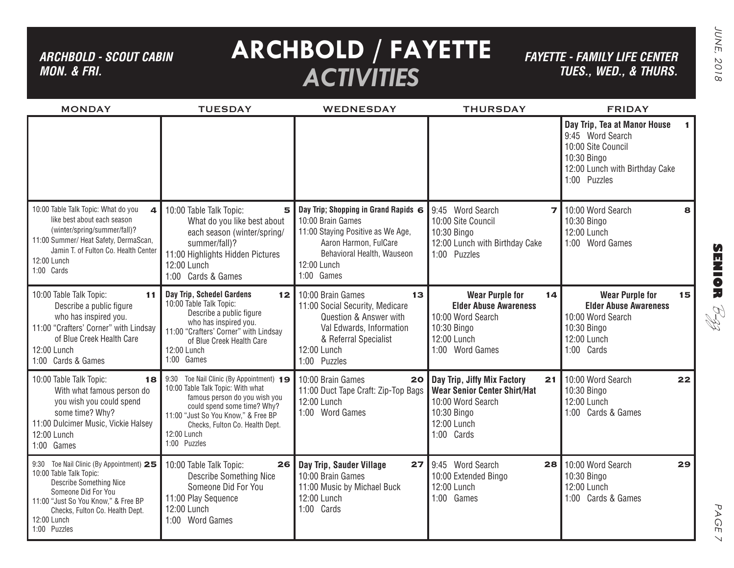### *ARCHBOLD - SCOUT CABIN MON. & FRI.*

# **ARCHBOLD / FAYETTE** *ACTIVITIES*

*FAYETTE - FAMILY LIFE CENTER TUES., Wed., & THURS.*

| <b>MONDAY</b>                                                                                                                                                                                                                               | <b>TUESDAY</b>                                                                                                                                                                                                                                         | <b>WEDNESDAY</b>                                                                                                                                                                   | <b>THURSDAY</b>                                                                                                                           | <b>FRIDAY</b>                                                                                                                           |    |
|---------------------------------------------------------------------------------------------------------------------------------------------------------------------------------------------------------------------------------------------|--------------------------------------------------------------------------------------------------------------------------------------------------------------------------------------------------------------------------------------------------------|------------------------------------------------------------------------------------------------------------------------------------------------------------------------------------|-------------------------------------------------------------------------------------------------------------------------------------------|-----------------------------------------------------------------------------------------------------------------------------------------|----|
|                                                                                                                                                                                                                                             |                                                                                                                                                                                                                                                        |                                                                                                                                                                                    |                                                                                                                                           | Day Trip, Tea at Manor House<br>9:45 Word Search<br>10:00 Site Council<br>10:30 Bingo<br>12:00 Lunch with Birthday Cake<br>1:00 Puzzles | 1. |
| 10:00 Table Talk Topic: What do you<br>$\overline{\mathbf{A}}$<br>like best about each season<br>(winter/spring/summer/fall)?<br>11:00 Summer/ Heat Safety, DermaScan,<br>Jamin T. of Fulton Co. Health Center<br>12:00 Lunch<br>1:00 Cards | 10:00 Table Talk Topic:<br>5<br>What do you like best about<br>each season (winter/spring/<br>summer/fall)?<br>11:00 Highlights Hidden Pictures<br>12:00 Lunch<br>1:00 Cards & Games                                                                   | Day Trip; Shopping in Grand Rapids 6<br>10:00 Brain Games<br>11:00 Staying Positive as We Age,<br>Aaron Harmon, FulCare<br>Behavioral Health, Wauseon<br>12:00 Lunch<br>1:00 Games | 9:45 Word Search<br>$\overline{\phantom{a}}$<br>10:00 Site Council<br>10:30 Bingo<br>12:00 Lunch with Birthday Cake<br>1:00 Puzzles       | 10:00 Word Search<br>10:30 Bingo<br>12:00 Lunch<br>1:00 Word Games                                                                      | 8  |
| 10:00 Table Talk Topic:<br>11<br>Describe a public figure<br>who has inspired you.<br>11:00 "Crafters' Corner" with Lindsay<br>of Blue Creek Health Care<br>12:00 Lunch<br>1:00 Cards & Games                                               | Day Trip, Schedel Gardens<br>12<br>10:00 Table Talk Topic:<br>Describe a public figure<br>who has inspired you.<br>11:00 "Crafters' Corner" with Lindsay<br>of Blue Creek Health Care<br>12:00 Lunch<br>1:00 Games                                     | 10:00 Brain Games<br>13<br>11:00 Social Security, Medicare<br>Question & Answer with<br>Val Edwards, Information<br>& Referral Specialist<br>12:00 Lunch<br>1:00 Puzzles           | <b>Wear Purple for</b><br>14<br><b>Elder Abuse Awareness</b><br>10:00 Word Search<br>10:30 Bingo<br>12:00 Lunch<br>1:00 Word Games        | <b>Wear Purple for</b><br><b>Elder Abuse Awareness</b><br>10:00 Word Search<br>10:30 Bingo<br>12:00 Lunch<br>1:00 Cards                 | 15 |
| 10:00 Table Talk Topic:<br>18<br>With what famous person do<br>you wish you could spend<br>some time? Why?<br>11:00 Dulcimer Music, Vickie Halsey<br>12:00 Lunch<br>1:00 Games                                                              | 9:30 Toe Nail Clinic (By Appointment) 19<br>10:00 Table Talk Topic: With what<br>famous person do you wish you<br>could spend some time? Why?<br>11:00 "Just So You Know," & Free BP<br>Checks, Fulton Co. Health Dept.<br>12:00 Lunch<br>1:00 Puzzles | 10:00 Brain Games<br>20<br>11:00 Duct Tape Craft: Zip-Top Bags<br>12:00 Lunch<br>1:00 Word Games                                                                                   | Day Trip, Jiffy Mix Factory<br>21<br><b>Wear Senior Center Shirt/Hat</b><br>10:00 Word Search<br>10:30 Bingo<br>12:00 Lunch<br>1:00 Cards | 10:00 Word Search<br>10:30 Bingo<br>12:00 Lunch<br>1:00 Cards & Games                                                                   | 22 |
| 9:30 Toe Nail Clinic (By Appointment) 25<br>10:00 Table Talk Topic:<br><b>Describe Something Nice</b><br>Someone Did For You<br>11:00 "Just So You Know," & Free BP<br>Checks, Fulton Co. Health Dept.<br>12:00 Lunch<br>1:00 Puzzles       | 10:00 Table Talk Topic:<br>26<br><b>Describe Something Nice</b><br>Someone Did For You<br>11:00 Play Sequence<br>12:00 Lunch<br>1:00 Word Games                                                                                                        | Day Trip, Sauder Village<br>27 <sup>1</sup><br>10:00 Brain Games<br>11:00 Music by Michael Buck<br>12:00 Lunch<br>1:00 Cards                                                       | 9:45 Word Search<br>28<br>10:00 Extended Bingo<br>12:00 Lunch<br>1:00 Games                                                               | 10:00 Word Search<br>10:30 Bingo<br>12:00 Lunch<br>1:00 Cards & Games                                                                   | 29 |

B-zz

PAGE 7

 $\vee$ 

PAGE

**SENIOR**